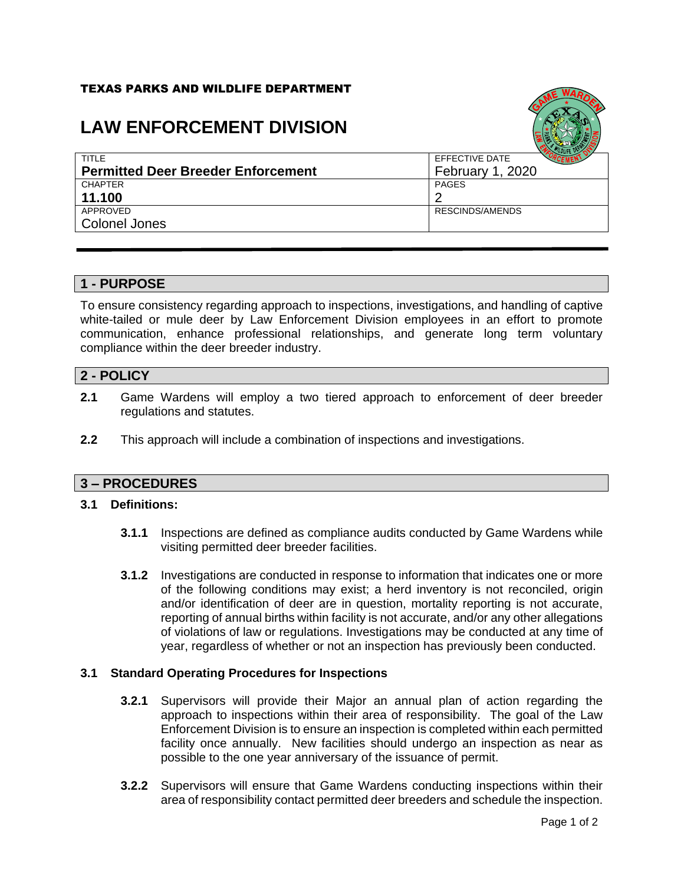# TEXAS PARKS AND WILDLIFE DEPARTMENT

# **LAW ENFORCEMENT DIVISION**



|                                           | <b>CALLULLE DEPTY</b>   |
|-------------------------------------------|-------------------------|
| TITLE                                     | EFFECTIVE DATE          |
| <b>Permitted Deer Breeder Enforcement</b> | <b>February 1, 2020</b> |
| <b>CHAPTER</b>                            | PAGES                   |
| 11.100                                    |                         |
| APPROVED                                  | RESCINDS/AMENDS         |
| Colonel Jones                             |                         |

# **1 - PURPOSE**

To ensure consistency regarding approach to inspections, investigations, and handling of captive white-tailed or mule deer by Law Enforcement Division employees in an effort to promote communication, enhance professional relationships, and generate long term voluntary compliance within the deer breeder industry.

### **2 - POLICY**

- **2.1** Game Wardens will employ a two tiered approach to enforcement of deer breeder regulations and statutes.
- **2.2** This approach will include a combination of inspections and investigations.

## **3 – PROCEDURES**

#### **3.1 Definitions:**

- **3.1.1** Inspections are defined as compliance audits conducted by Game Wardens while visiting permitted deer breeder facilities.
- **3.1.2** Investigations are conducted in response to information that indicates one or more of the following conditions may exist; a herd inventory is not reconciled, origin and/or identification of deer are in question, mortality reporting is not accurate, reporting of annual births within facility is not accurate, and/or any other allegations of violations of law or regulations. Investigations may be conducted at any time of year, regardless of whether or not an inspection has previously been conducted.

#### **3.1 Standard Operating Procedures for Inspections**

- **3.2.1** Supervisors will provide their Major an annual plan of action regarding the approach to inspections within their area of responsibility. The goal of the Law Enforcement Division is to ensure an inspection is completed within each permitted facility once annually. New facilities should undergo an inspection as near as possible to the one year anniversary of the issuance of permit.
- **3.2.2** Supervisors will ensure that Game Wardens conducting inspections within their area of responsibility contact permitted deer breeders and schedule the inspection.